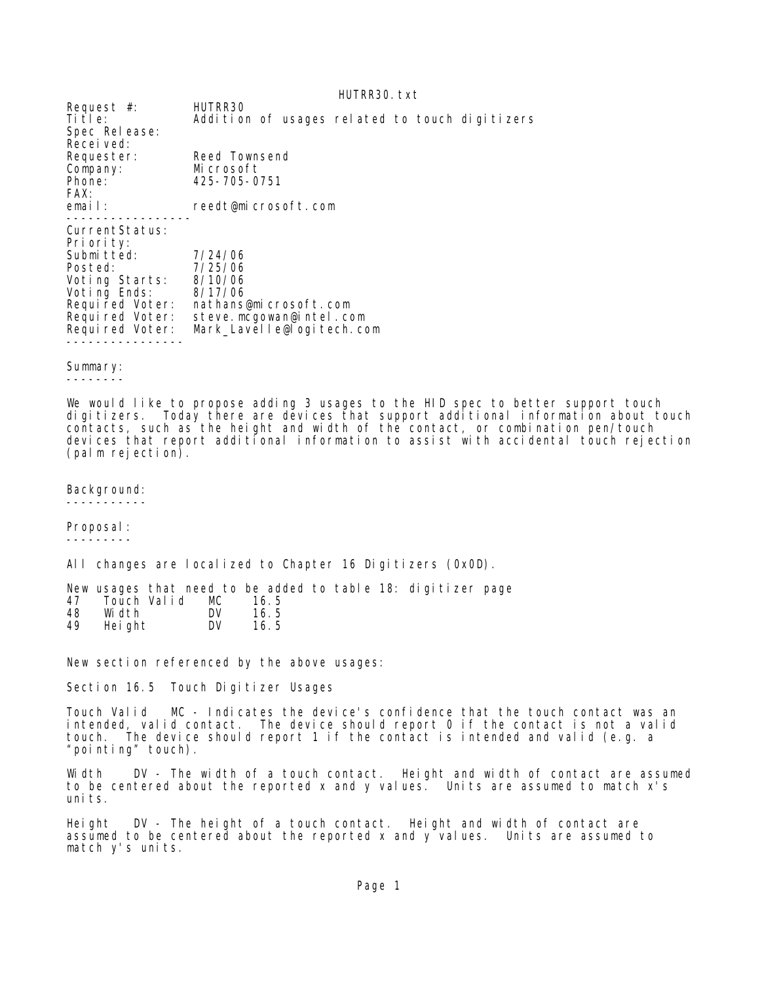HUTRR30.txt Request #: HUTRR30 Title: Addition of usages related to touch digitizers Spec Release: Received:<br>Requester: Reed Townsend Company: Microsoft Phone: 425-705-0751 FAX:<br>email: reedt@microsoft.com ----------------- CurrentStatus: Priority: Submitted: 7/24/06 Posted: 7/25/06<br>Voting Starts: 8/10/06 Voting Starts: 8/10/06 Voting Ends: 8/17/06 Required Voter: nathans@microsoft.com Required Voter: steve.mcgowan@intel.com Required Voter: Mark\_Lavelle@logitech.com ----------------

## Summary:

--------

We would like to propose adding 3 usages to the HID spec to better support touch digitizers. Today there are devices that support additional information about touch contacts, such as the height and width of the contact, or combination pen/touch devices that report additional information to assist with accidental touch rejection (palm rejection).

Background:

-----------

Proposal: ---------

All changes are localized to Chapter 16 Digitizers (0x0D).

New usages that need to be added to table 18: digitizer page 47 Touch Valid MC 16.5 48 Width DV 16.5 Height

New section referenced by the above usages:

Section 16.5 Touch Digitizer Usages

Touch Valid MC - Indicates the device's confidence that the touch contact was an intended, valid contact. The device should report 0 if the contact is not a valid touch. The device should report 1 if the contact is intended and valid (e.g. a "pointing" touch).

Width DV - The width of a touch contact. Height and width of contact are assumed to be centered about the reported x and y values. Units are assumed to match x's uni ts.

Height DV - The height of a touch contact. Height and width of contact are assumed to be centered about the reported x and y values. Units are assumed to match y's units.